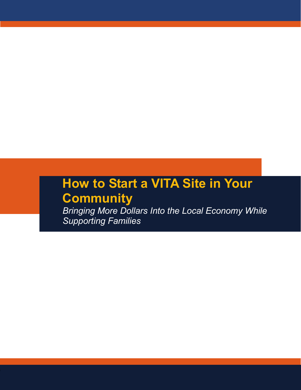### **How to Start a VITA Site in Your Community**

*Bringing More Dollars Into the Local Economy While Supporting Families*

**1**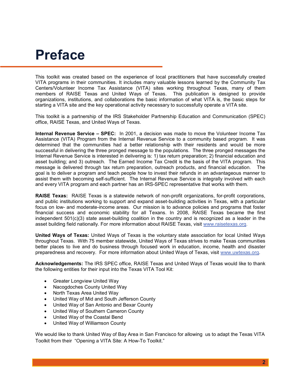### **Preface**

This toolkit was created based on the experience of local practitioners that have successfully created VITA programs in their communities. It includes many valuable lessons learned by the Community Tax Centers/Volunteer Income Tax Assistance (VITA) sites working throughout Texas, many of them members of RAISE Texas and United Ways of Texas. This publication is designed to provide organizations, institutions, and collaborations the basic information of what VITA is, the basic steps for starting a VITA site and the key operational activity necessary to successfully operate a VITA site.

This toolkit is a partnership of the IRS Stakeholder Partnership Education and Communication (SPEC) office, RAISE Texas, and United Ways of Texas.

**Internal Revenue Service – SPEC:** In 2001, a decision was made to move the Volunteer Income Tax Assistance (VITA) Program from the Internal Revenue Service to a community based program. It was determined that the communities had a better relationship with their residents and would be more successful in delivering the three pronged message to the populations. The three pronged messages the Internal Revenue Service is interested in delivering is: 1) tax return preparation; 2) financial education and asset building; and 3) outreach. The Earned Income Tax Credit is the basis of the VITA program. This message is delivered through tax return preparation, outreach products, and financial education. The goal is to deliver a program and teach people how to invest their refunds in an advantageous manner to assist them with becoming self-sufficient. The Internal Revenue Service is integrally involved with each and every VITA program and each partner has an IRS-SPEC representative that works with them.

**RAISE Texas:** RAISE Texas is a statewide network of non-profit organizations, for-profit corporations, and public institutions working to support and expand asset-building activities in Texas, with a particular focus on low- and moderate-income areas. Our mission is to advance policies and programs that foster financial success and economic stability for all Texans. In 2008, RAISE Texas became the first independent 501(c)(3) state asset-building coalition in the country and is recognized as a leader in the asset building field nationally. For more information about RAISE Texas, visit [www.raisetexas.org.](http://www.raisetexas.org/)

**United Ways of Texas:** United Ways of Texas is the voluntary state association for local United Ways throughout Texas. With 75 member statewide, United Ways of Texas strives to make Texas communities better places to live and do business through focused work in education, income, health and disaster preparedness and recovery. For more information about United Ways of Texas, visit [www.uwtexas.org.](http://www.uwtexas.org/)

**Acknowledgements:** The IRS SPEC office, RAISE Texas and United Ways of Texas would like to thank the following entities for their input into the Texas VITA Tool Kit:

- Greater Longview United Way
- Nacogdoches County United Way
- North Texas Area United Way
- United Way of Mid and South Jefferson County
- United Way of San Antonio and Bexar County
- United Way of Southern Cameron County
- United Way of the Coastal Bend
- United Way of Williamson County

We would like to thank United Way of Bay Area in San Francisco for allowing us to adapt the Texas VITA Toolkit from their "Opening a VITA Site: A How-To Toolkit."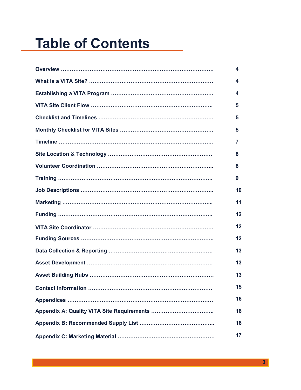## **Table of Contents**

| 4  |
|----|
| 4  |
| 4  |
| 5  |
| 5  |
| 5  |
| 7  |
| 8  |
| 8  |
| 9  |
| 10 |
| 11 |
| 12 |
| 12 |
| 12 |
| 13 |
| 13 |
| 13 |
| 15 |
| 16 |
| 16 |
| 16 |
| 17 |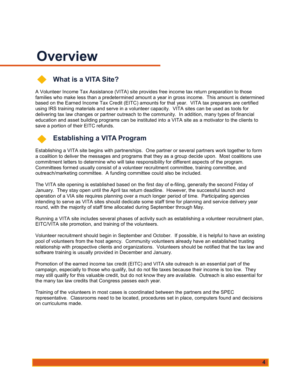### **Overview**

### **What is a VITA Site?**

A Volunteer Income Tax Assistance (VITA) site provides free income tax return preparation to those families who make less than a predetermined amount a year in gross income. This amount is determined based on the Earned Income Tax Credit (EITC) amounts for that year. VITA tax preparers are certified using IRS training materials and serve in a volunteer capacity. VITA sites can be used as tools for delivering tax law changes or partner outreach to the community. In addition, many types of financial education and asset building programs can be instituted into a VITA site as a motivator to the clients to save a portion of their EITC refunds.

#### **Establishing a VITA Program**

Establishing a VITA site begins with partnerships. One partner or several partners work together to form a coalition to deliver the messages and programs that they as a group decide upon. Most coalitions use commitment letters to determine who will take responsibility for different aspects of the program. Committees formed usually consist of a volunteer recruitment committee, training committee, and outreach/marketing committee. A funding committee could also be included.

The VITA site opening is established based on the first day of e-filing, generally the second Friday of January. They stay open until the April tax return deadline. However, the successful launch and operation of a VIA site requires planning over a much longer period of time. Participating agencies intending to serve as VITA sites should dedicate some staff time for planning and service delivery year round, with the majority of staff time allocated during September through May.

Running a VITA site includes several phases of activity such as establishing a volunteer recruitment plan, EITC/VITA site promotion, and training of the volunteers.

Volunteer recruitment should begin in September and October. If possible, it is helpful to have an existing pool of volunteers from the host agency. Community volunteers already have an established trusting relationship with prospective clients and organizations. Volunteers should be notified that the tax law and software training is usually provided in December and January.

Promotion of the earned income tax credit (EITC) and VITA site outreach is an essential part of the campaign, especially to those who qualify, but do not file taxes because their income is too low. They may still qualify for this valuable credit, but do not know they are available. Outreach is also essential for the many tax law credits that Congress passes each year.

Training of the volunteers in most cases is coordinated between the partners and the SPEC representative. Classrooms need to be located, procedures set in place, computers found and decisions on curriculums made.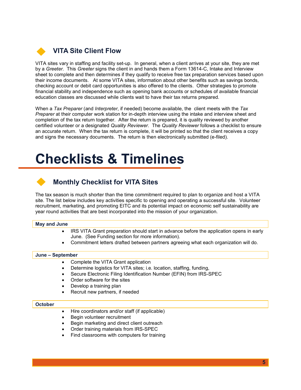

VITA sites vary in staffing and facility set-up. In general, when a client arrives at your site, they are met by a *Greeter*. This *Greeter* signs the client in and hands them a Form 13614-C, Intake and Interview sheet to complete and then determines if they qualify to receive free tax preparation services based upon their income documents. At some VITA sites, information about other benefits such as savings bonds, checking account or debit card opportunities is also offered to the clients. Other strategies to promote financial stability and independence such as opening bank accounts or schedules of available financial education classes are discussed while clients wait to have their tax returns prepared.

When a *Tax Preparer* (and *Interpreter*, if needed) become available, the client meets with the *Tax Preparer* at their computer work station for in-depth interview using the intake and interview sheet and completion of the tax return together. After the return is prepared, it is quality reviewed by another certified volunteer or a designated *Quality Reviewer*. The *Quality Reviewer* follows a checklist to ensure an accurate return. When the tax return is complete, it will be printed so that the client receives a copy and signs the necessary documents. The return is then electronically submitted (e-filed).

## **Checklists & Timelines**

#### **Monthly Checklist for VITA Sites**

The tax season is much shorter than the time commitment required to plan to organize and host a VITA site. The list below includes key activities specific to opening and operating a successful site. Volunteer recruitment, marketing, and promoting EITC and its potential impact on economic self sustainability are year round activities that are best incorporated into the mission of your organization.

#### **May and June**

- IRS VITA Grant preparation should start in advance before the application opens in early June. (See Funding section for more information).
- Commitment letters drafted between partners agreeing what each organization will do.

#### **June – September**

- Complete the VITA Grant application
- Determine logistics for VITA sites; i.e. location, staffing, funding,
- Secure Electronic Filing Identification Number (EFIN) from IRS-SPEC
- Order software for the sites
- Develop a training plan
- Recruit new partners, if needed

#### **October**

- Hire coordinators and/or staff (if applicable)
- Begin volunteer recruitment
- Begin marketing and direct client outreach
- Order training materials from IRS-SPEC
- Find classrooms with computers for training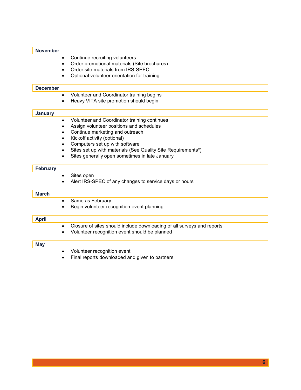| <b>November</b> |                                                                                     |
|-----------------|-------------------------------------------------------------------------------------|
|                 | Continue recruiting volunteers<br>$\bullet$                                         |
|                 | Order promotional materials (Site brochures)<br>$\bullet$                           |
|                 | Order site materials from IRS-SPEC<br>$\bullet$                                     |
|                 | Optional volunteer orientation for training<br>$\bullet$                            |
| <b>December</b> |                                                                                     |
|                 | Volunteer and Coordinator training begins<br>$\bullet$                              |
|                 | Heavy VITA site promotion should begin<br>$\bullet$                                 |
| <b>January</b>  |                                                                                     |
|                 | Volunteer and Coordinator training continues<br>$\bullet$                           |
|                 | Assign volunteer positions and schedules<br>$\bullet$                               |
|                 | Continue marketing and outreach<br>$\bullet$                                        |
|                 | Kickoff activity (optional)<br>$\bullet$                                            |
|                 | Computers set up with software<br>$\bullet$                                         |
|                 | Sites set up with materials (See Quality Site Requirements*)<br>$\bullet$           |
|                 | Sites generally open sometimes in late January<br>٠                                 |
| <b>February</b> |                                                                                     |
|                 | Sites open<br>$\bullet$                                                             |
|                 | Alert IRS-SPEC of any changes to service days or hours<br>$\bullet$                 |
| <b>March</b>    |                                                                                     |
|                 | Same as February<br>$\bullet$                                                       |
|                 | Begin volunteer recognition event planning                                          |
| <b>April</b>    |                                                                                     |
|                 | Closure of sites should include downloading of all surveys and reports<br>$\bullet$ |
|                 | Volunteer recognition event should be planned                                       |
| <b>May</b>      |                                                                                     |
|                 | Volunteer recognition event<br>$\bullet$                                            |
|                 | Final reports downloaded and given to partners<br>$\bullet$                         |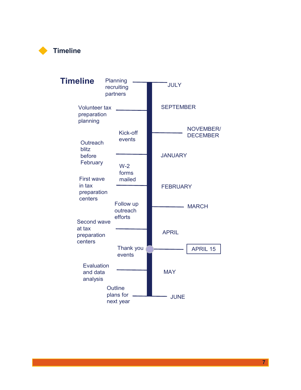

| <b>Timeline</b>                                       | Planning<br>recruiting<br>partners | <b>JULY</b>      |                                     |  |
|-------------------------------------------------------|------------------------------------|------------------|-------------------------------------|--|
| <b>Volunteer tax</b><br>preparation<br>planning       |                                    | <b>SEPTEMBER</b> |                                     |  |
| Outreach<br>blitz                                     | Kick-off<br>events                 |                  | <b>NOVEMBER/</b><br><b>DECEMBER</b> |  |
| before<br>February                                    | $W-2$<br>forms                     | <b>JANUARY</b>   |                                     |  |
| <b>First wave</b><br>in tax<br>preparation<br>centers | mailed                             | <b>FEBRUARY</b>  |                                     |  |
| Second wave                                           | Follow up<br>outreach<br>efforts   |                  | <b>MARCH</b>                        |  |
| at tax<br>preparation<br>centers                      | Thank you                          | <b>APRIL</b>     | <b>APRIL 15</b>                     |  |
| Evaluation<br>and data<br>analysis                    | events                             | <b>MAY</b>       |                                     |  |
|                                                       | Outline<br>plans for<br>next year  | <b>JUNE</b>      |                                     |  |

**7**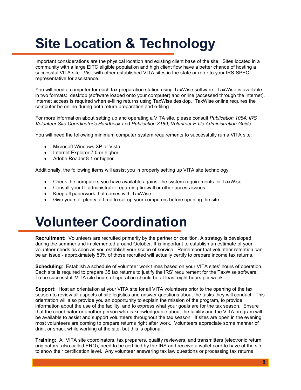# **Site Location & Technology**

Important considerations are the physical location and existing client base of the site. Sites located in a community with a large EITC eligible population and high client flow have a better chance of hosting a successful VITA site. Visit with other established VITA sites in the state or refer to your IRS-SPEC representative for assistance.

You will need a computer for each tax preparation station using TaxWise software. TaxWise is available in two formats: desktop (software loaded onto your computer) and online (accessed through the internet). Internet access is required when e-filing returns using TaxWise desktop. TaxWise online requires the computer be online during both return preparation and e-filing.

For more information about setting up and operating a VITA site, please consult *Publication 1084, IRS Volunteer Site Coordinator's Handbook* and *Publication 3189, Volunteer E-file Administration Guide.*

You will need the following minimum computer system requirements to successfully run a VITA site:

- Microsoft Windows XP or Vista
- Internet Explorer 7.0 or higher
- Adobe Reader 8.1 or higher

Additionally, the following items will assist you in properly setting up VITA site technology:

- Check the computers you have available against the system requirements for TaxWise
- Consult your IT administrator regarding firewall or other access issues
- Keep all paperwork that comes with TaxWise
- Give yourself plenty of time to set up your computers before opening the site

### **Volunteer Coordination**

**Recruitment:** Volunteers are recruited primarily by the partner or coalition. A strategy is developed during the summer and implemented around October. It is important to establish an estimate of your volunteer needs as soon as you establish your scope of service. Remember that volunteer retention can be an issue - approximately 50% of those recruited will actually certify to prepare income tax returns.

**Scheduling**: Establish a schedule of volunteer work times based on your VITA sites' hours of operation. Each site is required to prepare 35 tax returns to justify the IRS' requirement for the TaxWise software. To be successful, VITA site hours of operation should be at least eight hours per week.

**Support:** Host an orientation at your VITA site for all VITA volunteers prior to the opening of the tax season to review all aspects of site logistics and answer questions about the tasks they will conduct. This orientation will also provide you an opportunity to explain the mission of the program, to provide information about the use of the facility, and to express what your goals are for the tax season. Ensure that the coordinator or another person who is knowledgeable about the facility and the VITA program will be available to assist and support volunteers throughout the tax season. If sites are open in the evening, most volunteers are coming to prepare returns right after work. Volunteers appreciate some manner of drink or snack while working at the site, but this is optional.

**Training:** All VITA site coordinators, tax preparers, quality reviewers, and transmitters (electronic return originators, also called ERO), need to be certified by the IRS and receive a wallet card to have at the site to show their certification level. Any volunteer answering tax law questions or processing tax returns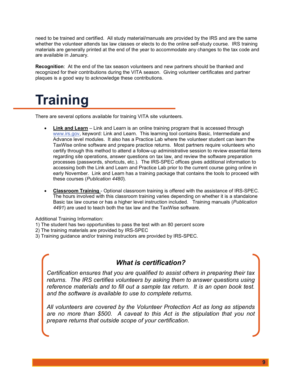need to be trained and certified. All study material/manuals are provided by the IRS and are the same whether the volunteer attends tax law classes or elects to do the online self-study course. IRS training materials are generally printed at the end of the year to accommodate any changes to the tax code and are available in January.

**Recognition**: At the end of the tax season volunteers and new partners should be thanked and recognized for their contributions during the VITA season. Giving volunteer certificates and partner plaques is a good way to acknowledge these contributions.

## **Training**

There are several options available for training VITA site volunteers.

- **Link and Learn** Link and Learn is an online training program that is accessed through [www.irs.gov,](http://www.irs.gov/) keyword: Link and Learn. This learning tool contains Basic, Intermediate and Advance level modules. It also has a Practice Lab where the volunteer student can learn the TaxWise online software and prepare practice returns. Most partners require volunteers who certify through this method to attend a follow-up administrative session to review essential items regarding site operations, answer questions on tax law, and review the software preparation processes (passwords, shortcuts, etc.). The IRS-SPEC offices gives additional information to accessing both the Link and Learn and Practice Lab prior to the current course going online in early November. Link and Learn has a training package that contains the tools to proceed with these courses (*Publication 4480*).
- **Classroom Training** Optional classroom training is offered with the assistance of IRS-SPEC. The hours involved with this classroom training varies depending on whether it is a standalone Basic tax law course or has a higher level instruction included. Training manuals (*Publication 4491*) are used to teach both the tax law and the TaxWise software.

Additional Training Information:

- 1) The student has two opportunities to pass the test with an 80 percent score
- 2) The training materials are provided by IRS-SPEC
- 3) Training guidance and/or training instructors are provided by IRS-SPEC.

#### *What is certification?*

*Certification ensures that you are qualified to assist others in preparing their tax returns. The IRS certifies volunteers by asking them to answer questions using reference materials and to fill out a sample tax return. It is an open book test. and the software is available to use to complete returns.*

*All volunteers are covered by the Volunteer Protection Act as long as stipends are no more than \$500. A caveat to this Act is the stipulation that you not prepare returns that outside scope of your certification.*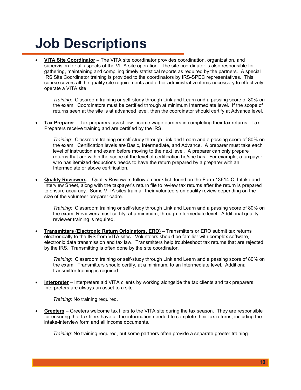## **Job Descriptions**

• **VITA Site Coordinator** – The VITA site coordinator provides coordination, organization, and supervision for all aspects of the VITA site operation. The site coordinator is also responsible for gathering, maintaining and compiling timely statistical reports as required by the partners. A special IRS Site Coordinator training is provided to the coordinators by IRS-SPEC representatives. This course covers all the quality site requirements and other administrative items necessary to effectively operate a VITA site.

*Training*: Classroom training or self-study through Link and Learn and a passing score of 80% on the exam. Coordinators must be certified through at minimum Intermediate level. If the scope of returns seen at the site is at advanced level, then the coordinator should certify at Advance level.

• **Tax Preparer** – Tax preparers assist low income wage earners in completing their tax returns. Tax Preparers receive training and are certified by the IRS.

*Training:* Classroom training or self-study through Link and Learn and a passing score of 80% on the exam. Certification levels are Basic, Intermediate, and Advance. A preparer must take each level of instruction and exam before moving to the next level. A preparer can only prepare returns that are within the scope of the level of certification he/she has. For example, a taxpayer who has itemized deductions needs to have the return prepared by a preparer with an Intermediate or above certification.

• **Quality Reviewers** – Quality Reviewers follow a check list found on the Form 13614-C, Intake and Interview Sheet, along with the taxpayer's return file to review tax returns after the return is prepared to ensure accuracy. Some VITA sites train all their volunteers on quality review depending on the size of the volunteer preparer cadre.

*Training*: Classroom training or self-study through Link and Learn and a passing score of 80% on the exam. Reviewers must certify, at a minimum, through Intermediate level. Additional quality reviewer training is required.

• **Transmitters (Electronic Return Originators, ERO)** – Transmitters or ERO submit tax returns electronically to the IRS from VITA sites. Volunteers should be familiar with complex software, electronic data transmission and tax law. Transmitters help troubleshoot tax returns that are rejected by the IRS. Transmitting is often done by the site coordinator.

*Training:* Classroom training or self-study through Link and Learn and a passing score of 80% on the exam. Transmitters should certify, at a minimum, to an Intermediate level. Additional transmitter training is required.

• **Interpreter** – Interpreters aid VITA clients by working alongside the tax clients and tax preparers. Interpreters are always an asset to a site.

*Training:* No training required.

• **Greeters** – Greeters welcome tax filers to the VITA site during the tax season. They are responsible for ensuring that tax filers have all the information needed to complete their tax returns, including the intake-interview form and all income documents.

*Training:* No training required, but some partners often provide a separate greeter training.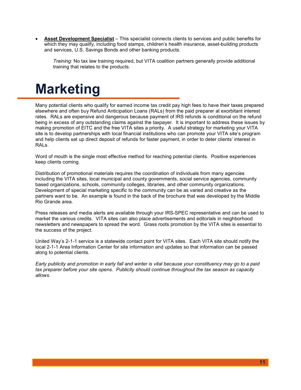• **Asset Development Specialist** – This specialist connects clients to services and public benefits for which they may qualify, including food stamps, children's health insurance, asset-building products and services, U.S. Savings Bonds and other banking products.

*Training*: No tax law training required, but VITA coalition partners generally provide additional training that relates to the products.

## **Marketing**

Many potential clients who qualify for earned income tax credit pay high fees to have their taxes prepared elsewhere and often buy Refund Anticipation Loans (RALs) from the paid preparer at exorbitant interest rates. RALs are expensive and dangerous because payment of IRS refunds is conditional on the refund being in excess of any outstanding claims against the taxpayer. It is important to address these issues by making promotion of EITC and the free VITA sites a priority. A useful strategy for marketing your VITA site is to develop partnerships with local financial institutions who can promote your VITA site's program and help clients set up direct deposit of refunds for faster payment, in order to deter clients' interest in RALs.

Word of mouth is the single most effective method for reaching potential clients. Positive experiences keep clients coming.

Distribution of promotional materials requires the coordination of individuals from many agencies including the VITA sites, local municipal and county governments, social service agencies, community based organizations, schools, community colleges, libraries, and other community organizations. Development of special marketing specific to the community can be as varied and creative as the partners want to be. An example is found in the back of the brochure that was developed by the Middle Rio Grande area.

Press releases and media alerts are available through your IRS-SPEC representative and can be used to market the various credits. VITA sites can also place advertisements and editorials in neighborhood newsletters and newspapers to spread the word. Grass roots promotion by the VITA sites is essential to the success of the project.

United Way's 2-1-1 service is a statewide contact point for VITA sites. Each VITA site should notify the local 2-1-1 Area Information Center for site information and updates so that information can be passed along to potential clients.

*Early publicity and promotion in early fall and winter is vital because your constituency may go to a paid tax preparer before your site opens. Publicity should continue throughout the tax season as capacity allows*.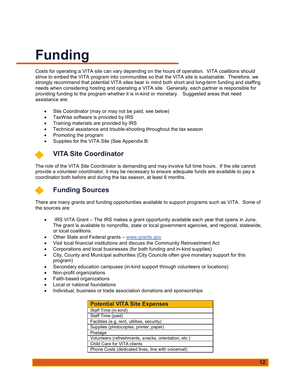## **Funding**

Costs for operating a VITA site can vary depending on the hours of operation. VITA coalitions should strive to embed the VITA program into communities so that the VITA site is sustainable. Therefore, we strongly recommend that potential VITA sites bear in mind both short and long-term funding and staffing needs when considering hosting and operating a VITA site. Generally, each partner is responsible for providing funding to the program whether it is in-kind or monetary. Suggested areas that need assistance are:

- Site Coordinator (may or may not be paid, see below)
- TaxWise software is provided by IRS
- Training materials are provided by IRS
- Technical assistance and trouble-shooting throughout the tax season
- Promoting the program
- Supplies for the VITA Site (See Appendix B:

#### **VITA Site Coordinator**

The role of the VITA Site Coordinator is demanding and may involve full time hours. If the site cannot provide a volunteer coordinator, it may be necessary to ensure adequate funds are available to pay a coordinator both before and during the tax season, at least 6 months.

#### **Funding Sources**

There are many grants and funding opportunities available to support programs such as VITA. Some of the sources are:

- IRS VITA Grant The IRS makes a grant opportunity available each year that opens in June. The grant is available to nonprofits, state or local government agencies, and regional, statewide, or local coalitions.
- Other State and Federal grants [www.grants.gov](http://www.grants.gov/)
- Visit local financial institutions and discuss the Community Reinvestment Act
- Corporations and local businesses (for both funding and in-kind supplies)
- City, County and Municipal authorities (City Councils often give monetary support for this program)
- Secondary education campuses (in-kind support through volunteers or locations)
- Non-profit organizations
- Faith-based organizations
- Local or national foundations
- Individual, business or trade association donations and sponsorships

| <b>Potential VITA Site Expenses</b>                  |
|------------------------------------------------------|
| Staff Time (in-kind)                                 |
| Staff Time (paid)                                    |
| Facilities (e.g. rent, utilities, security)          |
| Supplies (photocopies, printer, paper)               |
| Postage                                              |
| Volunteers (refreshments, snacks, orientation, etc.) |
| Child Care for VITA clients                          |
| Phone Costs (dedicated lines, line with voicemail)   |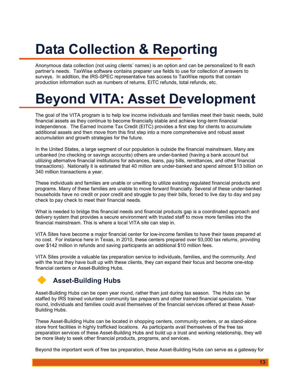# **Data Collection & Reporting**

Anonymous data collection (not using clients' names) is an option and can be personalized to fit each partner's needs. TaxWise software contains preparer use fields to use for collection of answers to surveys. In addition, the IRS-SPEC representative has access to TaxWise reports that contain production information such as numbers of returns, EITC refunds, total refunds, etc.

## **Beyond VITA: Asset Development**

The goal of the VITA program is to help low income individuals and families meet their basic needs, build financial assets as they continue to become financially stable and achieve long-term financial independence. The Earned Income Tax Credit (EITC) provides a first step for clients to accumulate additional assets and then move from this first step into a more comprehensive and robust asset accumulation and growth strategies for the future.

In the United States, a large segment of our population is outside the financial mainstream. Many are unbanked (no checking or savings accounts) others are under-banked (having a bank account but utilizing alternative financial institutions for advances, loans, pay bills, remittances, and other financial transactions). Nationally it is estimated that 40 million are under-banked and spend almost \$13 billion on 340 million transactions a year.

These individuals and families are unable or unwilling to utilize existing regulated financial products and programs. Many of these families are unable to move forward financially. Several of these under-banked households have no credit or poor credit and struggle to pay their bills, forced to live day to day and pay check to pay check to meet their financial needs.

What is needed to bridge this financial needs and financial products gap is a coordinated approach and delivery system that provides a secure environment with trusted staff to move more families into the financial mainstream. This is where a local VITA site can step in.

VITA Sites have become a major financial center for low-income families to have their taxes prepared at no cost. For instance here in Texas, in 2010, these centers prepared over 93,000 tax returns, providing over \$142 million in refunds and saving participants an additional \$10 million fees.

VITA Sites provide a valuable tax preparation service to individuals, families, and the community. And with the trust they have built up with these clients, they can expand their focus and become one-stop financial centers or Asset-Building Hubs.

### **Asset-Building Hubs**

Asset-Building Hubs can be open year round, rather than just during tax season. The Hubs can be staffed by IRS trained volunteer community tax preparers and other trained financial specialists. Year round, individuals and families could avail themselves of the financial services offered at these Asset-Building Hubs.

These Asset-Building Hubs can be located in shopping centers, community centers, or as stand-alone store front facilities in highly trafficked locations. As participants avail themselves of the free tax preparation services of these Asset-Building Hubs and build up a trust and working relationship, they will be more likely to seek other financial products, programs, and services.

Beyond the important work of free tax preparation, these Asset-Building Hubs can serve as a gateway for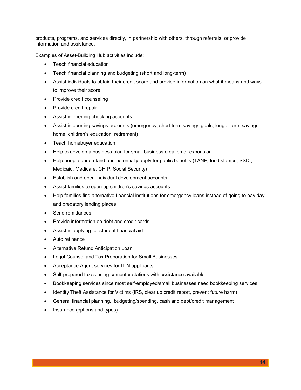products, programs, and services directly, in partnership with others, through referrals, or provide information and assistance.

Examples of Asset-Building Hub activities include:

- Teach financial education
- Teach financial planning and budgeting (short and long-term)
- Assist individuals to obtain their credit score and provide information on what it means and ways to improve their score
- Provide credit counseling
- Provide credit repair
- Assist in opening checking accounts
- Assist in opening savings accounts (emergency, short term savings goals, longer-term savings, home, children's education, retirement)
- Teach homebuyer education
- Help to develop a business plan for small business creation or expansion
- Help people understand and potentially apply for public benefits (TANF, food stamps, SSDI, Medicaid, Medicare, CHIP, Social Security)
- Establish and open individual development accounts
- Assist families to open up children's savings accounts
- Help families find alternative financial institutions for emergency loans instead of going to pay day and predatory lending places
- Send remittances
- Provide information on debt and credit cards
- Assist in applying for student financial aid
- Auto refinance
- Alternative Refund Anticipation Loan
- Legal Counsel and Tax Preparation for Small Businesses
- Acceptance Agent services for ITIN applicants
- Self-prepared taxes using computer stations with assistance available
- Bookkeeping services since most self-employed/small businesses need bookkeeping services
- Identity Theft Assistance for Victims (IRS, clear up credit report, prevent future harm)
- General financial planning, budgeting/spending, cash and debt/credit management
- Insurance (options and types)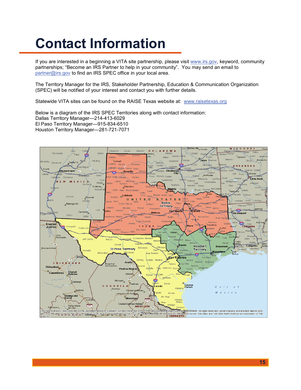## **Contact Information**

If you are interested in a beginning a VITA site partnership, please visit [www.irs.gov,](http://www.irs.gov/) keyword, community partnerships; "Become an IRS Partner to help in your community". You may send an email to [partner@irs.gov](mailto:partner@irs.gov) to find an IRS SPEC office in your local area.

The Territory Manager for the IRS, Stakeholder Partnership, Education & Communication Organization (SPEC) will be notified of your interest and contact you with further details.

Statewide VITA sites can be found on the RAISE Texas website at: [www.raisetexas.org](http://www.raisetexas.org/)

Below is a diagram of the IRS SPEC Territories along with contact information: Dallas Territory Manager—214-413-6029 El Paso Territory Manager—915-834-6510 Houston Territory Manager—281-721-7071

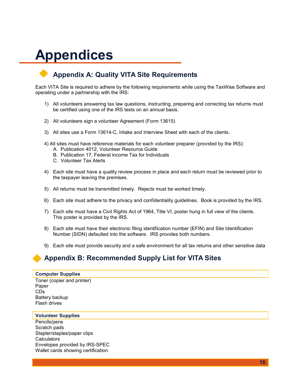## **Appendices**

#### **Appendix A: Quality VITA Site Requirements**

Each VITA Site is required to adhere by the following requirements while using the TaxWise Software and operating under a partnership with the IRS:

- 1) All volunteers answering tax law questions, instructing, preparing and correcting tax returns must be certified using one of the IRS tests on an annual basis.
- 2) All volunteers sign a volunteer Agreement (Form 13615)
- 3) All sites use a Form 13614-C, Intake and Interview Sheet with each of the clients.
- 4) All sites must have reference materials for each volunteer preparer (provided by the IRS):
	- A. Publication 4012, Volunteer Resource Guide
	- B. Publication 17, Federal income Tax for Individuals
	- C. Volunteer Tax Alerts
- 4) Each site must have a quality review process in place and each return must be reviewed prior to the taxpayer leaving the premises.
- 5) All returns must be transmitted timely. Rejects must be worked timely.
- 6) Each site must adhere to the privacy and confidentiality guidelines. Book is provided by the IRS.
- 7) Each site must have a Civil Rights Act of 1964, Title VI, poster hung in full view of the clients. This poster is provided by the IRS.
- 8) Each site must have their electronic filing identification number (EFIN) and Site Identification Number (SIDN) defaulted into the software. IRS provides both numbers.
- 9) Each site must provide security and a safe environment for all tax returns and other sensitive data

#### **Appendix B: Recommended Supply List for VITA Sites**

#### **Computer Supplies**

Toner (copier and printer) Paper CDs Battery backup Flash drives

#### **Volunteer Supplies**

Pencils/pens Scratch pads Stapler/staples/paper clips **Calculators** Envelopes provided by IRS-SPEC Wallet cards showing certification